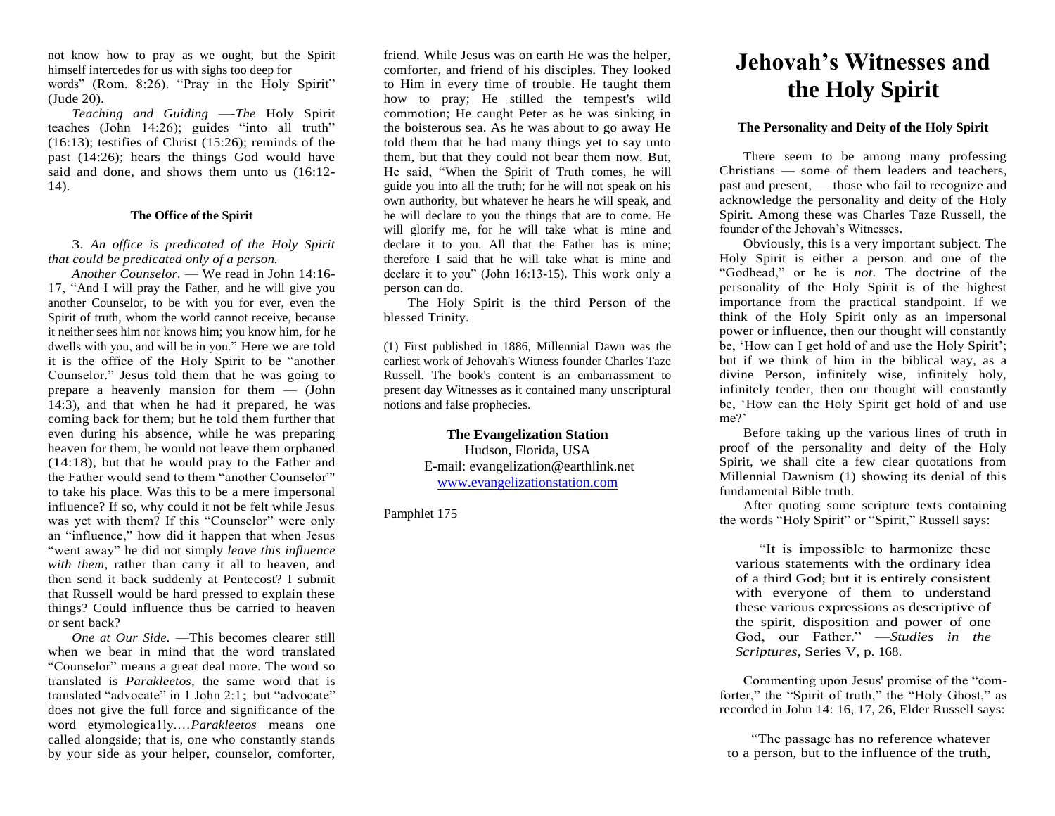not know how to pray as we ought, but the Spirit himself intercedes for us with sighs too deep for words" (Rom. 8:26). "Pray in the Holy Spirit" (Jude 20).

*Teaching and Guiding —-The* Holy Spirit teaches (John 14:26); guides "into all truth" (16:13); testifies of Christ (15:26); reminds of the past (14:26); hears the things God would have said and done, and shows them unto us (16:12- 14).

### **The Office of the Spirit**

3. *An office is predicated of the Holy Spirit that could be predicated only of a person.* 

*Another Counselor.* — We read in John 14:16- 17, "And I will pray the Father, and he will give you another Counselor, to be with you for ever, even the Spirit of truth, whom the world cannot receive, because it neither sees him nor knows him; you know him, for he dwells with you, and will be in you." Here we are told it is the office of the Holy Spirit to be "another Counselor." Jesus told them that he was going to prepare a heavenly mansion for them — (John 14:3), and that when he had it prepared, he was coming back for them; but he told them further that even during his absence, while he was preparing heaven for them, he would not leave them orphaned (14:18), but that he would pray to the Father and the Father would send to them "another Counselor"' to take his place. Was this to be a mere impersonal influence? If so, why could it not be felt while Jesus was yet with them? If this "Counselor" were only an "influence," how did it happen that when Jesus "went away" he did not simply *leave this influence*  with them, rather than carry it all to heaven, and then send it back suddenly at Pentecost? I submit that Russell would be hard pressed to explain these things? Could influence thus be carried to heaven or sent back?

*One at Our Side.* —This becomes clearer still when we bear in mind that the word translated "Counselor" means a great deal more. The word so translated is *Parakleetos,* the same word that is translated "advocate" in 1 John 2:1; but "advocate" does not give the full force and significance of the word etymologica1ly.…*Parakleetos* means one called alongside; that is, one who constantly stands by your side as your helper, counselor, comforter,

friend. While Jesus was on earth He was the helper, comforter, and friend of his disciples. They looked to Him in every time of trouble. He taught them how to pray; He stilled the tempest's wild commotion; He caught Peter as he was sinking in the boisterous sea. As he was about to go away He told them that he had many things yet to say unto them, but that they could not bear them now. But, He said, "When the Spirit of Truth comes, he will guide you into all the truth; for he will not speak on his own authority, but whatever he hears he will speak, and he will declare to you the things that are to come. He will glorify me, for he will take what is mine and declare it to you. All that the Father has is mine; therefore I said that he will take what is mine and declare it to you" (John 16:13-15). This work only a person can do.

The Holy Spirit is the third Person of the blessed Trinity.

(1) First published in 1886, Millennial Dawn was the earliest work of Jehovah's Witness founder Charles Taze Russell. The book's content is an embarrassment to present day Witnesses as it contained many unscriptural notions and false prophecies.

> **The Evangelization Station** Hudson, Florida, USA E-mail: evangelization@earthlink.net [www.evangelizationstation.com](http://www.pjpiisoe.org/)

Pamphlet 175

# **Jehovah's Witnesses and the Holy Spirit**

#### **The Personality and Deity of the Holy Spirit**

There seem to be among many professing Christians — some of them leaders and teachers, past and present, — those who fail to recognize and acknowledge the personality and deity of the Holy Spirit. Among these was Charles Taze Russell, the founder of the Jehovah's Witnesses.

Obviously, this is a very important subject. The Holy Spirit is either a person and one of the "Godhead," or he is *not.* The doctrine of the personality of the Holy Spirit is of the highest importance from the practical standpoint. If we think of the Holy Spirit only as an impersonal power or influence, then our thought will constantly be, 'How can I get hold of and use the Holy Spirit'; but if we think of him in the biblical way, as a divine Person, infinitely wise, infinitely holy, infinitely tender, then our thought will constantly be, 'How can the Holy Spirit get hold of and use me?'

Before taking up the various lines of truth in proof of the personality and deity of the Holy Spirit, we shall cite a few clear quotations from Millennial Dawnism (1) showing its denial of this fundamental Bible truth.

After quoting some scripture texts containing the words "Holy Spirit" or "Spirit," Russell says:

"It is impossible to harmonize these various statements with the ordinary idea of a third God; but it is entirely consistent with everyone of them to understand these various expressions as descriptive of the spirit, disposition and power of one God, our Father." —*Studies in the Scriptures*, Series V, p. 168.

Commenting upon Jesus' promise of the "comforter," the "Spirit of truth," the "Holy Ghost," as recorded in John 14: 16, 17, 26, Elder Russell says:

"The passage has no reference whatever to a person, but to the influence of the truth,